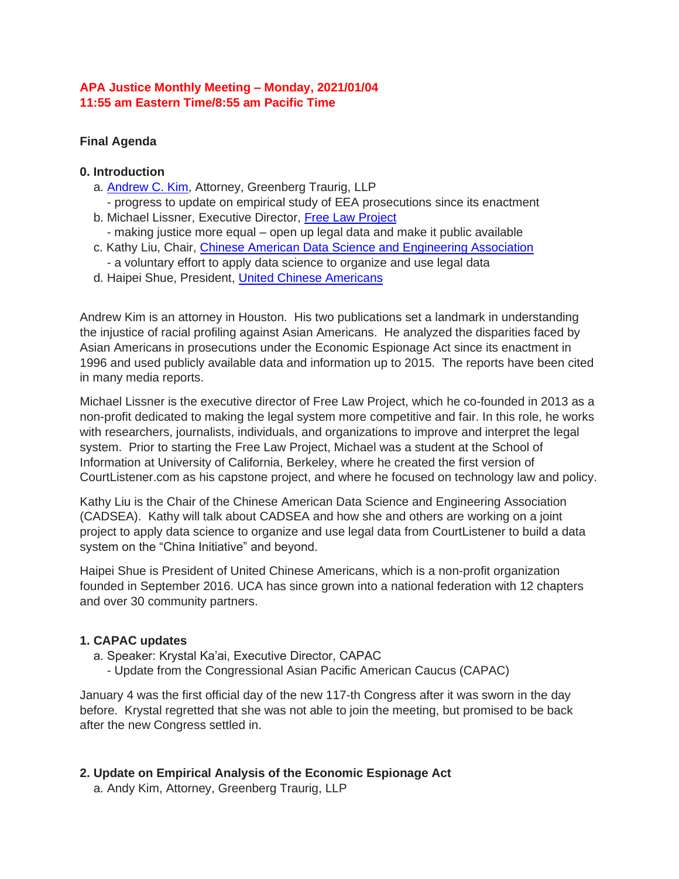## **APA Justice Monthly Meeting – Monday, 2021/01/04 11:55 am Eastern Time/8:55 am Pacific Time**

# **Final Agenda**

#### **0. Introduction**

- a. **Andrew C. Kim**, Attorney, Greenberg Traurig, LLP
- progress to update on empirical study of EEA prosecutions since its enactment b. Michael Lissner, Executive Director, [Free Law Project](https://bit.ly/33576e0)
- making justice more equal open up legal data and make it public available
- c. Kathy Liu, Chair, [Chinese American Data Science and Engineering Association](http://bit.ly/33Sb3QO) - a voluntary effort to apply data science to organize and use legal data
- 
- d. Haipei Shue, President, [United Chinese Americans](http://bit.ly/3jsKFWL)

Andrew Kim is an attorney in Houston. His two publications set a landmark in understanding the injustice of racial profiling against Asian Americans. He analyzed the disparities faced by Asian Americans in prosecutions under the Economic Espionage Act since its enactment in 1996 and used publicly available data and information up to 2015. The reports have been cited in many media reports.

Michael Lissner is the executive director of Free Law Project, which he co-founded in 2013 as a non-profit dedicated to making the legal system more competitive and fair. In this role, he works with researchers, journalists, individuals, and organizations to improve and interpret the legal system. Prior to starting the Free Law Project, Michael was a student at the School of Information at University of California, Berkeley, where he created the first version of CourtListener.com as his capstone project, and where he focused on technology law and policy.

Kathy Liu is the Chair of the Chinese American Data Science and Engineering Association (CADSEA). Kathy will talk about CADSEA and how she and others are working on a joint project to apply data science to organize and use legal data from CourtListener to build a data system on the "China Initiative" and beyond.

Haipei Shue is President of United Chinese Americans, which is a non-profit organization founded in September 2016. UCA has since grown into a national federation with 12 chapters and over 30 community partners.

#### **1. CAPAC updates**

- a. Speaker: Krystal Ka'ai, Executive Director, CAPAC
	- Update from the Congressional Asian Pacific American Caucus (CAPAC)

January 4 was the first official day of the new 117-th Congress after it was sworn in the day before. Krystal regretted that she was not able to join the meeting, but promised to be back after the new Congress settled in.

# **2. Update on Empirical Analysis of the Economic Espionage Act**

a. Andy Kim, Attorney, Greenberg Traurig, LLP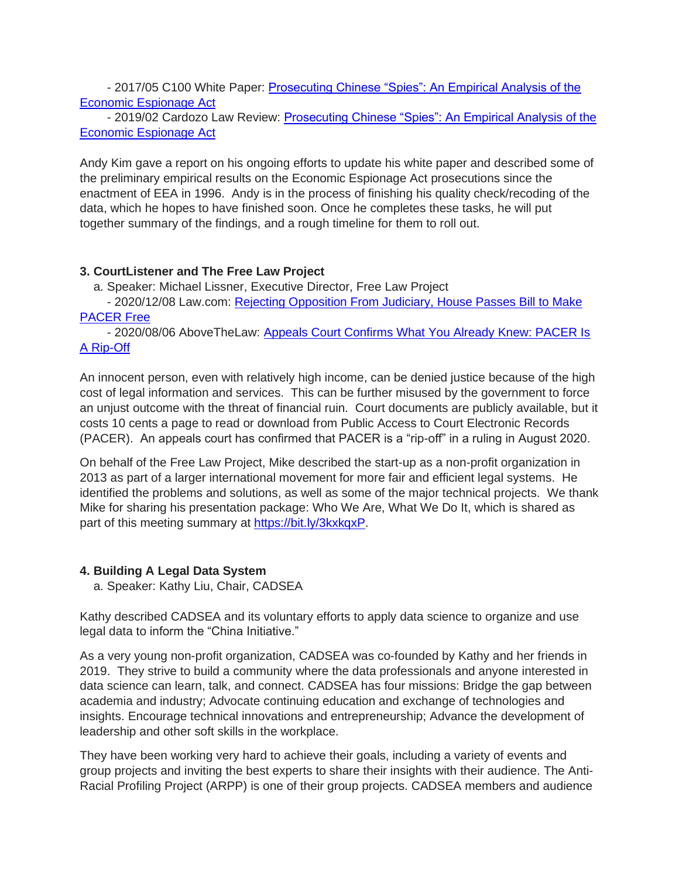- 2017/05 C100 White Paper: [Prosecuting Chinese "Spies": An Empirical Analysis of the](https://bit.ly/34CJC1v)  [Economic Espionage Act](https://bit.ly/34CJC1v)

- 2019/02 Cardozo Law Review: Prosecuting Chinese "Spies": An Empirical Analysis of the [Economic Espionage Act](http://bit.ly/2S8jrut)

Andy Kim gave a report on his ongoing efforts to update his white paper and described some of the preliminary empirical results on the Economic Espionage Act prosecutions since the enactment of EEA in 1996. Andy is in the process of finishing his quality check/recoding of the data, which he hopes to have finished soon. Once he completes these tasks, he will put together summary of the findings, and a rough timeline for them to roll out.

## **3. CourtListener and The Free Law Project**

a. Speaker: Michael Lissner, Executive Director, Free Law Project

- 2020/12/08 Law.com: [Rejecting Opposition From Judiciary, House Passes Bill to Make](http://bit.ly/3rccWF0)  [PACER Free](http://bit.ly/3rccWF0)

- 2020/08/06 AboveTheLaw: [Appeals Court Confirms What You Already Knew: PACER Is](http://bit.ly/34qTr1G)  [A Rip-Off](http://bit.ly/34qTr1G)

An innocent person, even with relatively high income, can be denied justice because of the high cost of legal information and services. This can be further misused by the government to force an unjust outcome with the threat of financial ruin. Court documents are publicly available, but it costs 10 cents a page to read or download from Public Access to Court Electronic Records (PACER). An appeals court has confirmed that PACER is a "rip-off" in a ruling in August 2020.

On behalf of the Free Law Project, Mike described the start-up as a non-profit organization in 2013 as part of a larger international movement for more fair and efficient legal systems. He identified the problems and solutions, as well as some of the major technical projects. We thank Mike for sharing his presentation package: Who We Are, What We Do It, which is shared as part of this meeting summary at [https://bit.ly/3kxkqxP.](https://bit.ly/3kxkqxP)

#### **4. Building A Legal Data System**

a. Speaker: Kathy Liu, Chair, CADSEA

Kathy described CADSEA and its voluntary efforts to apply data science to organize and use legal data to inform the "China Initiative."

As a very young non-profit organization, CADSEA was co-founded by Kathy and her friends in 2019. They strive to build a community where the data professionals and anyone interested in data science can learn, talk, and connect. CADSEA has four missions: Bridge the gap between academia and industry; Advocate continuing education and exchange of technologies and insights. Encourage technical innovations and entrepreneurship; Advance the development of leadership and other soft skills in the workplace.

They have been working very hard to achieve their goals, including a variety of events and group projects and inviting the best experts to share their insights with their audience. The Anti-Racial Profiling Project (ARPP) is one of their group projects. CADSEA members and audience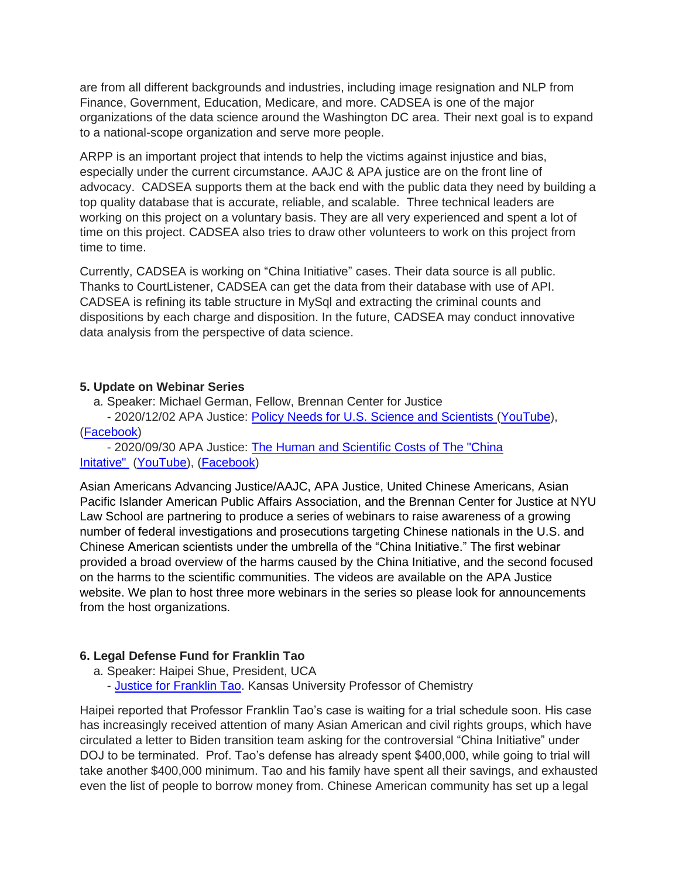are from all different backgrounds and industries, including image resignation and NLP from Finance, Government, Education, Medicare, and more. CADSEA is one of the major organizations of the data science around the Washington DC area. Their next goal is to expand to a national-scope organization and serve more people.

ARPP is an important project that intends to help the victims against injustice and bias, especially under the current circumstance. AAJC & APA justice are on the front line of advocacy. CADSEA supports them at the back end with the public data they need by building a top quality database that is accurate, reliable, and scalable. Three technical leaders are working on this project on a voluntary basis. They are all very experienced and spent a lot of time on this project. CADSEA also tries to draw other volunteers to work on this project from time to time.

Currently, CADSEA is working on "China Initiative" cases. Their data source is all public. Thanks to CourtListener, CADSEA can get the data from their database with use of API. CADSEA is refining its table structure in MySql and extracting the criminal counts and dispositions by each charge and disposition. In the future, CADSEA may conduct innovative data analysis from the perspective of data science.

#### **5. Update on Webinar Series**

a. Speaker: Michael German, Fellow, Brennan Center for Justice

- 2020/12/02 APA Justice: [Policy Needs for U.S. Science and Scientists](https://bit.ly/3mRbN36) [\(YouTube\)](https://bit.ly/3qsxFDW), [\(Facebook\)](https://bit.ly/3g9nrDI)

- 2020/09/30 APA Justice: [The Human and Scientific Costs of The "China](https://bit.ly/3qv8dxw)  [Initative"](https://bit.ly/3qv8dxw) [\(YouTube\)](https://bit.ly/3kFFOS2), [\(Facebook\)](https://bit.ly/3c2aV70)

Asian Americans Advancing Justice/AAJC, APA Justice, United Chinese Americans, Asian Pacific Islander American Public Affairs Association, and the Brennan Center for Justice at NYU Law School are partnering to produce a series of webinars to raise awareness of a growing number of federal investigations and prosecutions targeting Chinese nationals in the U.S. and Chinese American scientists under the umbrella of the "China Initiative." The first webinar provided a broad overview of the harms caused by the China Initiative, and the second focused on the harms to the scientific communities. The videos are available on the APA Justice website. We plan to host three more webinars in the series so please look for announcements from the host organizations.

#### **6. Legal Defense Fund for Franklin Tao**

- a. Speaker: Haipei Shue, President, UCA
	- [Justice for Franklin Tao.](http://bit.ly/37VKYpp) Kansas University Professor of Chemistry

Haipei reported that Professor Franklin Tao's case is waiting for a trial schedule soon. His case has increasingly received attention of many Asian American and civil rights groups, which have circulated a letter to Biden transition team asking for the controversial "China Initiative" under DOJ to be terminated. Prof. Tao's defense has already spent \$400,000, while going to trial will take another \$400,000 minimum. Tao and his family have spent all their savings, and exhausted even the list of people to borrow money from. Chinese American community has set up a legal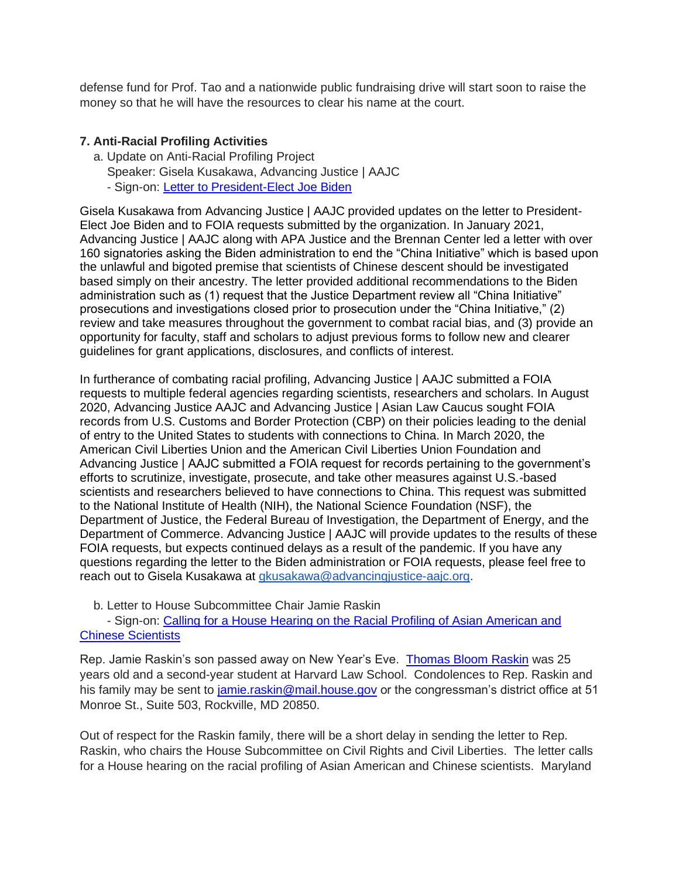defense fund for Prof. Tao and a nationwide public fundraising drive will start soon to raise the money so that he will have the resources to clear his name at the court.

## **7. Anti-Racial Profiling Activities**

- a. Update on Anti-Racial Profiling Project
	- Speaker: Gisela Kusakawa, Advancing Justice | AAJC
	- Sign-on: [Letter to President-Elect Joe Biden](https://apajustice.us10.list-manage.com/track/click?u=e7b59f65e74d0cf687a5f268c&id=971453cea9&e=aad73a8381)

Gisela Kusakawa from Advancing Justice | AAJC provided updates on the letter to President-Elect Joe Biden and to FOIA requests submitted by the organization. In January 2021, Advancing Justice | AAJC along with APA Justice and the Brennan Center led a letter with over 160 signatories asking the Biden administration to end the "China Initiative" which is based upon the unlawful and bigoted premise that scientists of Chinese descent should be investigated based simply on their ancestry. The letter provided additional recommendations to the Biden administration such as (1) request that the Justice Department review all "China Initiative" prosecutions and investigations closed prior to prosecution under the "China Initiative," (2) review and take measures throughout the government to combat racial bias, and (3) provide an opportunity for faculty, staff and scholars to adjust previous forms to follow new and clearer guidelines for grant applications, disclosures, and conflicts of interest.

In furtherance of combating racial profiling, Advancing Justice | AAJC submitted a FOIA requests to multiple federal agencies regarding scientists, researchers and scholars. In August 2020, Advancing Justice AAJC and Advancing Justice | Asian Law Caucus sought FOIA records from U.S. Customs and Border Protection (CBP) on their policies leading to the denial of entry to the United States to students with connections to China. In March 2020, the American Civil Liberties Union and the American Civil Liberties Union Foundation and Advancing Justice | AAJC submitted a FOIA request for records pertaining to the government's efforts to scrutinize, investigate, prosecute, and take other measures against U.S.-based scientists and researchers believed to have connections to China. This request was submitted to the National Institute of Health (NIH), the National Science Foundation (NSF), the Department of Justice, the Federal Bureau of Investigation, the Department of Energy, and the Department of Commerce. Advancing Justice | AAJC will provide updates to the results of these FOIA requests, but expects continued delays as a result of the pandemic. If you have any questions regarding the letter to the Biden administration or FOIA requests, please feel free to reach out to Gisela Kusakawa at [gkusakawa@advancingjustice-aajc.org.](mailto:gkusakawa@advancingjustice-aajc.org)

b. Letter to House Subcommittee Chair Jamie Raskin

- Sign-on: [Calling for a House Hearing on the Racial Profiling of Asian American and](http://bit.ly/38j0hqY)  [Chinese Scientists](http://bit.ly/38j0hqY)

Rep. Jamie Raskin's son passed away on New Year's Eve. [Thomas Bloom Raskin](http://wapo.st/38f4NrM) was 25 years old and a second-year student at Harvard Law School. Condolences to Rep. Raskin and his family may be sent to [jamie.raskin@mail.house.gov](mailto:jamie.raskin@mail.house.gov) or the congressman's district office at 51 Monroe St., Suite 503, Rockville, MD 20850.

Out of respect for the Raskin family, there will be a short delay in sending the letter to Rep. Raskin, who chairs the House Subcommittee on Civil Rights and Civil Liberties. The letter calls for a House hearing on the racial profiling of Asian American and Chinese scientists. Maryland